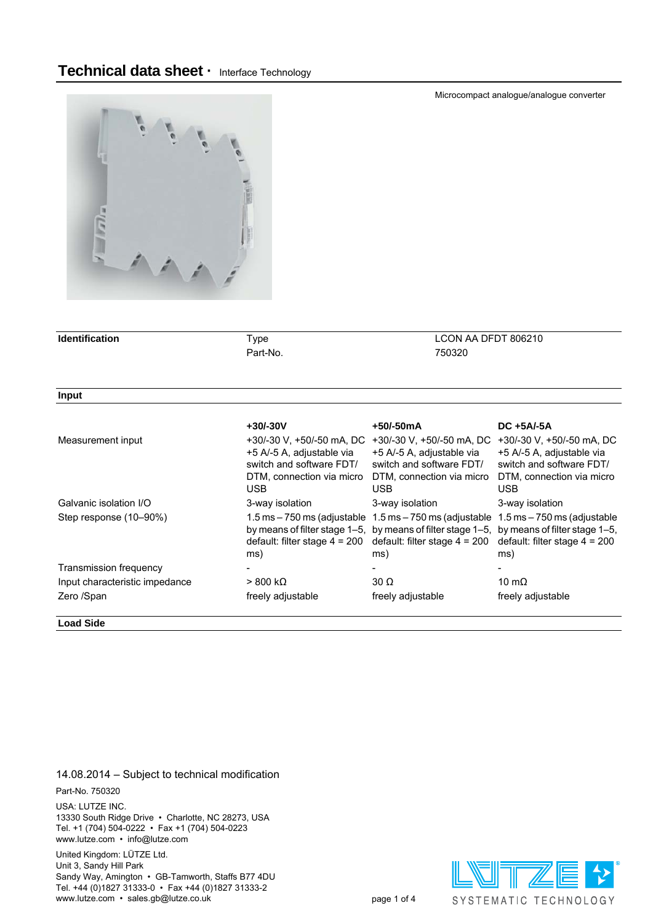

| <b>Identification</b>          | <b>Type</b>                                                                                                                   |                                                                                                                                                                                                                                     | LCON AA DFDT 806210                                                                                                     |  |  |  |
|--------------------------------|-------------------------------------------------------------------------------------------------------------------------------|-------------------------------------------------------------------------------------------------------------------------------------------------------------------------------------------------------------------------------------|-------------------------------------------------------------------------------------------------------------------------|--|--|--|
|                                | Part-No.                                                                                                                      | 750320                                                                                                                                                                                                                              |                                                                                                                         |  |  |  |
|                                |                                                                                                                               |                                                                                                                                                                                                                                     |                                                                                                                         |  |  |  |
| Input                          |                                                                                                                               |                                                                                                                                                                                                                                     |                                                                                                                         |  |  |  |
|                                | $+30/-30V$                                                                                                                    | +50/-50mA                                                                                                                                                                                                                           | DC +5A/-5A                                                                                                              |  |  |  |
| Measurement input              | +30/-30 V, +50/-50 mA, DC<br>+5 A/-5 A, adjustable via<br>switch and software FDT/<br>DTM, connection via micro<br><b>USB</b> | +30/-30 V, +50/-50 mA, DC<br>+5 A/-5 A, adjustable via<br>switch and software FDT/<br>DTM, connection via micro<br>USB.                                                                                                             | +30/-30 V, +50/-50 mA, DC<br>+5 A/-5 A, adjustable via<br>switch and software FDT/<br>DTM, connection via micro<br>USB. |  |  |  |
| Galvanic isolation I/O         | 3-way isolation                                                                                                               | 3-way isolation                                                                                                                                                                                                                     | 3-way isolation                                                                                                         |  |  |  |
| Step response (10-90%)         | default: filter stage $4 = 200$<br>ms)                                                                                        | $1.5$ ms $-750$ ms (adjustable $1.5$ ms $-750$ ms (adjustable $1.5$ ms $-750$ ms (adjustable<br>by means of filter stage 1–5, by means of filter stage 1–5, by means of filter stage 1–5,<br>default: filter stage $4 = 200$<br>ms) | default: filter stage $4 = 200$<br>ms)                                                                                  |  |  |  |
| Transmission frequency         |                                                                                                                               |                                                                                                                                                                                                                                     |                                                                                                                         |  |  |  |
| Input characteristic impedance | $>800 \ \text{k}\Omega$                                                                                                       | $30 \Omega$                                                                                                                                                                                                                         | 10 m $\Omega$                                                                                                           |  |  |  |
| Zero /Span                     | freely adjustable                                                                                                             | freely adjustable                                                                                                                                                                                                                   | freely adjustable                                                                                                       |  |  |  |

**Load Side**

14.08.2014 – Subject to technical modification

### Part-No. 750320

USA: LUTZE INC. 13330 South Ridge Drive • Charlotte, NC 28273, USA Tel. +1 (704) 504-0222 • Fax +1 (704) 504-0223 www.lutze.com • info@lutze.com

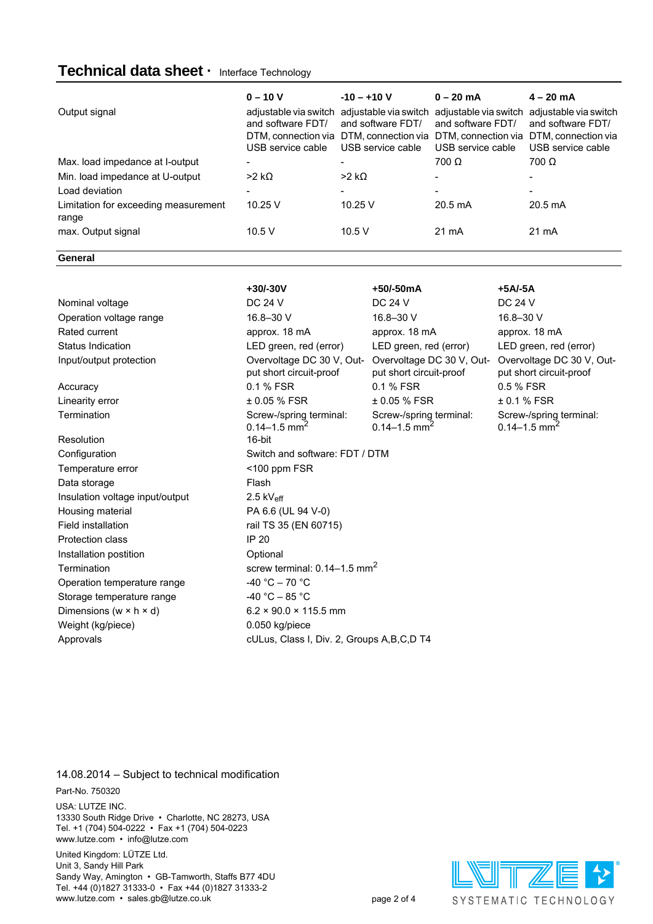# **Technical data sheet ·** Interface Technology

| Output signal                                 | $0 - 10 V$<br>adjustable via switch<br>and software FDT/<br>USB service cable | $-10 - +10$ V<br>adjustable via switch<br>and software FDT/<br>DTM, connection via DTM, connection via DTM, connection via<br>USB service cable | $0 - 20$ mA<br>adjustable via switch<br>and software FDT/<br>USB service cable | $4 - 20 \text{ mA}$<br>adjustable via switch<br>and software FDT/<br>DTM, connection via<br>USB service cable |
|-----------------------------------------------|-------------------------------------------------------------------------------|-------------------------------------------------------------------------------------------------------------------------------------------------|--------------------------------------------------------------------------------|---------------------------------------------------------------------------------------------------------------|
| Max. load impedance at I-output               | ۰                                                                             |                                                                                                                                                 | $700 \Omega$                                                                   | $700 \Omega$                                                                                                  |
| Min. load impedance at U-output               | $>2$ kΩ                                                                       | $>2$ kQ                                                                                                                                         |                                                                                |                                                                                                               |
| Load deviation                                | ۰                                                                             |                                                                                                                                                 |                                                                                | ٠                                                                                                             |
| Limitation for exceeding measurement<br>range | 10.25V                                                                        | 10.25V                                                                                                                                          | $20.5 \text{ mA}$                                                              | $20.5 \text{ mA}$                                                                                             |
| max. Output signal                            | 10.5V                                                                         | 10.5 V                                                                                                                                          | 21 mA                                                                          | 21 mA                                                                                                         |

**General**

|                                      | +30/-30V                                                | +50/-50mA                                               | $+5A/-5A$                                               |  |  |  |
|--------------------------------------|---------------------------------------------------------|---------------------------------------------------------|---------------------------------------------------------|--|--|--|
| Nominal voltage                      | <b>DC 24 V</b>                                          | DC 24 V                                                 | <b>DC 24 V</b>                                          |  |  |  |
| Operation voltage range              | 16.8-30 V                                               | 16.8-30 V                                               | 16.8-30 V                                               |  |  |  |
| Rated current                        | approx. 18 mA                                           | approx. 18 mA                                           | approx. 18 mA                                           |  |  |  |
| Status Indication                    | LED green, red (error)                                  | LED green, red (error)                                  | LED green, red (error)                                  |  |  |  |
| Input/output protection              | Overvoltage DC 30 V, Out-<br>put short circuit-proof    | Overvoltage DC 30 V, Out-<br>put short circuit-proof    | Overvoltage DC 30 V, Out-<br>put short circuit-proof    |  |  |  |
| Accuracy                             | 0.1 % FSR                                               | 0.1 % FSR                                               | 0.5 % FSR                                               |  |  |  |
| Linearity error                      | ± 0.05 % FSR                                            | ± 0.05 % FSR                                            | ± 0.1 % FSR                                             |  |  |  |
| Termination                          | Screw-/spring terminal:<br>$0.14 - 1.5$ mm <sup>2</sup> | Screw-/spring terminal:<br>$0.14 - 1.5$ mm <sup>2</sup> | Screw-/spring terminal:<br>$0.14 - 1.5$ mm <sup>2</sup> |  |  |  |
| Resolution                           | 16-bit                                                  |                                                         |                                                         |  |  |  |
| Configuration                        | Switch and software: FDT / DTM                          |                                                         |                                                         |  |  |  |
| Temperature error                    | $<$ 100 ppm FSR                                         |                                                         |                                                         |  |  |  |
| Data storage                         | Flash                                                   |                                                         |                                                         |  |  |  |
| Insulation voltage input/output      | 2.5 $kV_{\text{eff}}$                                   |                                                         |                                                         |  |  |  |
| Housing material                     | PA 6.6 (UL 94 V-0)                                      |                                                         |                                                         |  |  |  |
| <b>Field installation</b>            | rail TS 35 (EN 60715)                                   |                                                         |                                                         |  |  |  |
| Protection class                     | <b>IP 20</b>                                            |                                                         |                                                         |  |  |  |
| Installation postition               | Optional                                                |                                                         |                                                         |  |  |  |
| Termination                          | screw terminal: $0.14-1.5$ mm <sup>2</sup>              |                                                         |                                                         |  |  |  |
| Operation temperature range          | $-40 °C - 70 °C$                                        |                                                         |                                                         |  |  |  |
| Storage temperature range            | $-40 °C - 85 °C$                                        |                                                         |                                                         |  |  |  |
| Dimensions (w $\times$ h $\times$ d) | $6.2 \times 90.0 \times 115.5$ mm                       |                                                         |                                                         |  |  |  |
| Weight (kg/piece)                    | 0.050 kg/piece                                          |                                                         |                                                         |  |  |  |
| Approvals                            | cULus, Class I, Div. 2, Groups A, B, C, D T4            |                                                         |                                                         |  |  |  |

### 14.08.2014 – Subject to technical modification

Part-No. 750320

USA: LUTZE INC.

13330 South Ridge Drive • Charlotte, NC 28273, USA Tel. +1 (704) 504-0222 • Fax +1 (704) 504-0223 www.lutze.com • info@lutze.com

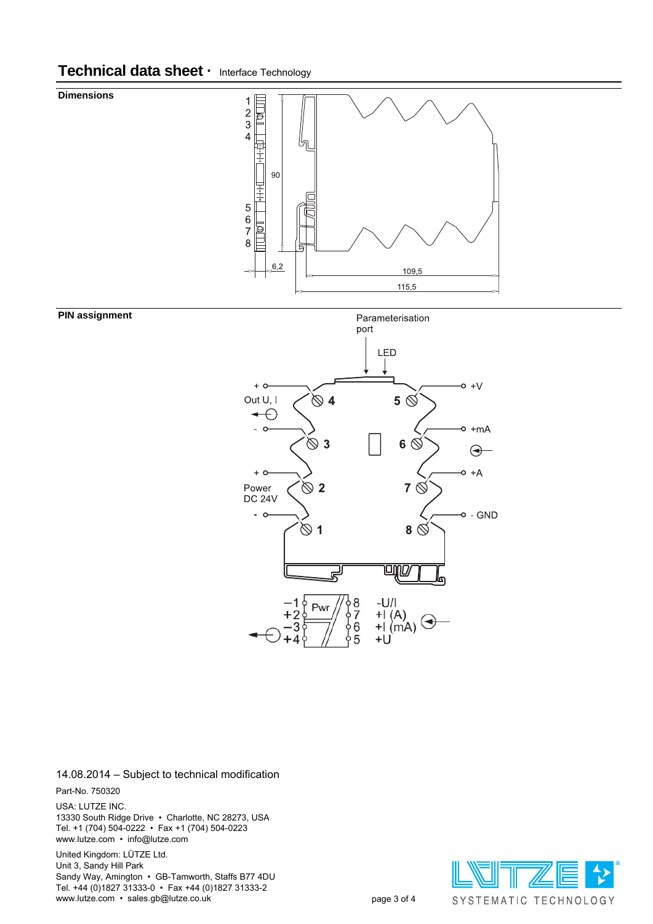# **Technical data sheet ·** Interface Technology





#### **PIN assignment**

**Dimensions**

## 14.08.2014 – Subject to technical modification

Part-No. 750320

USA: LUTZE INC. 13330 South Ridge Drive • Charlotte, NC 28273, USA Tel. +1 (704) 504-0222 • Fax +1 (704) 504-0223 www.lutze.com • info@lutze.com